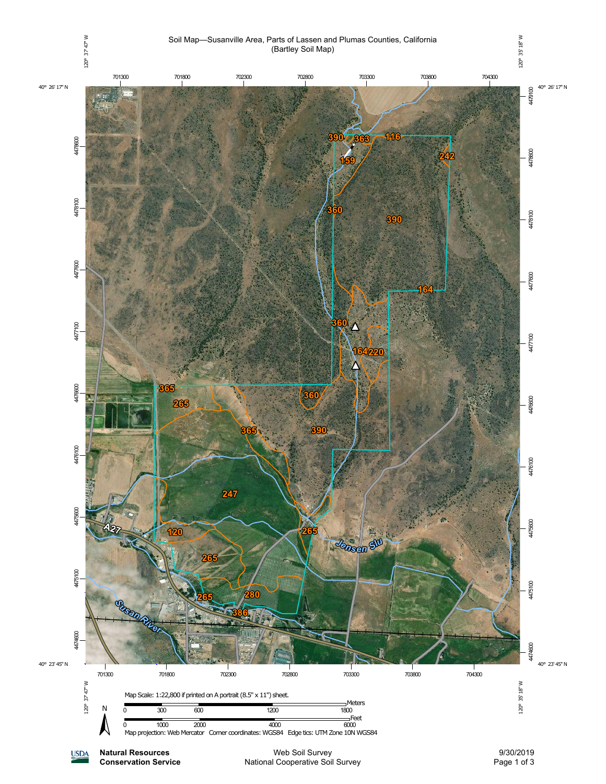

Page 1 of 3

**Natural Resources Conservation Service**

**USDA** 

Web Soil Survey National Cooperative Soil Survey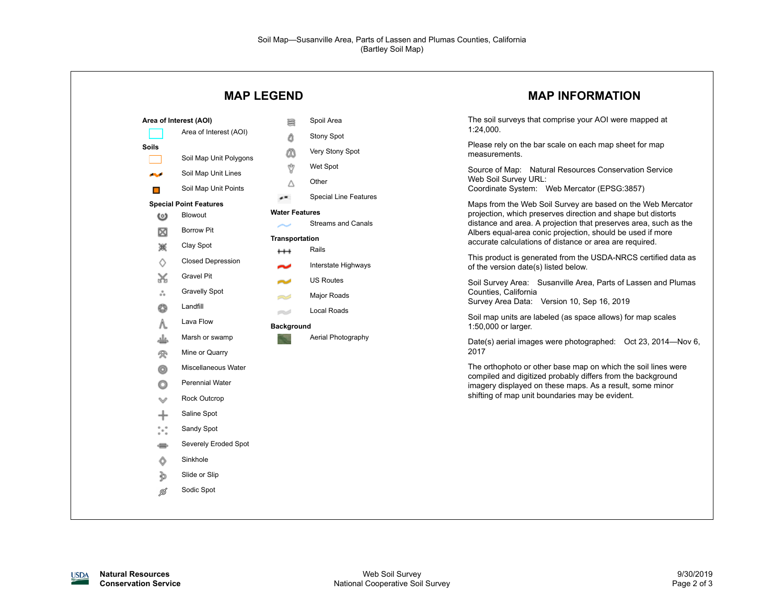| <b>MAP LEGEND</b>                                                                                                                                                                                                                                                                                                                                                                                                                |                                                                                                                                                                                                                                                                                                                                                                                                                           | <b>MAP INFORMATION</b>                                                                                                                                                                                                                                                                                                                                                                                                                                                                                                                                                                                                                                                                                                                                                                                                                                                                                                                                                                                                   |  |
|----------------------------------------------------------------------------------------------------------------------------------------------------------------------------------------------------------------------------------------------------------------------------------------------------------------------------------------------------------------------------------------------------------------------------------|---------------------------------------------------------------------------------------------------------------------------------------------------------------------------------------------------------------------------------------------------------------------------------------------------------------------------------------------------------------------------------------------------------------------------|--------------------------------------------------------------------------------------------------------------------------------------------------------------------------------------------------------------------------------------------------------------------------------------------------------------------------------------------------------------------------------------------------------------------------------------------------------------------------------------------------------------------------------------------------------------------------------------------------------------------------------------------------------------------------------------------------------------------------------------------------------------------------------------------------------------------------------------------------------------------------------------------------------------------------------------------------------------------------------------------------------------------------|--|
| Area of Interest (AOI)<br>Area of Interest (AOI)<br><b>Soils</b><br>Soil Map Unit Polygons<br>Soil Map Unit Lines<br>المحالي<br>Soil Map Unit Points<br>$\Box$<br><b>Special Point Features</b><br>Blowout<br>అ<br><b>Borrow Pit</b><br>⊠<br>Clay Spot<br>簽<br><b>Closed Depression</b><br>♦<br>Gravel Pit<br>X<br><b>Gravelly Spot</b><br>ឹ<br>Landfill<br>O<br>Lava Flow<br>Λ.<br>Marsh or swamp<br>غلد<br>Mine or Quarry<br>受 | Spoil Area<br>暠<br>Stony Spot<br>۵<br>Very Stony Spot<br>ω<br>Ŷ<br>Wet Spot<br>Other<br>Δ<br><b>Special Line Features</b><br>$\overline{\phantom{a}}$<br><b>Water Features</b><br><b>Streams and Canals</b><br><b>Transportation</b><br>Rails<br>$^{\rm ++}$<br>Interstate Highways<br>~<br><b>US Routes</b><br>محاسر<br>Major Roads<br>$\approx$<br><b>Local Roads</b><br>e d<br><b>Background</b><br>Aerial Photography | The soil surveys that comprise your AOI were mapped at<br>1.24,000<br>Please rely on the bar scale on each map sheet for map<br>measurements.<br>Source of Map: Natural Resources Conservation Service<br>Web Soil Survey URL:<br>Coordinate System: Web Mercator (EPSG:3857)<br>Maps from the Web Soil Survey are based on the Web Mercator<br>projection, which preserves direction and shape but distorts<br>distance and area. A projection that preserves area, such as the<br>Albers equal-area conic projection, should be used if more<br>accurate calculations of distance or area are required.<br>This product is generated from the USDA-NRCS certified data as<br>of the version date(s) listed below.<br>Soil Survey Area: Susanville Area, Parts of Lassen and Plumas<br>Counties, California<br>Survey Area Data: Version 10, Sep 16, 2019<br>Soil map units are labeled (as space allows) for map scales<br>1:50,000 or larger.<br>Date(s) aerial images were photographed: Oct 23, 2014-Nov 6,<br>2017 |  |
| Miscellaneous Water<br>o<br><b>Perennial Water</b><br>O<br><b>Rock Outcrop</b><br>v<br>Saline Spot<br>╇<br>$\degree\degree$<br>Sandy Spot<br>Severely Eroded Spot<br>÷<br>Sinkhole<br>Ô<br>Slide or Slip<br>∌<br>Sodic Spot<br>Ø                                                                                                                                                                                                 |                                                                                                                                                                                                                                                                                                                                                                                                                           | The orthophoto or other base map on which the soil lines were<br>compiled and digitized probably differs from the background<br>imagery displayed on these maps. As a result, some minor<br>shifting of map unit boundaries may be evident.                                                                                                                                                                                                                                                                                                                                                                                                                                                                                                                                                                                                                                                                                                                                                                              |  |